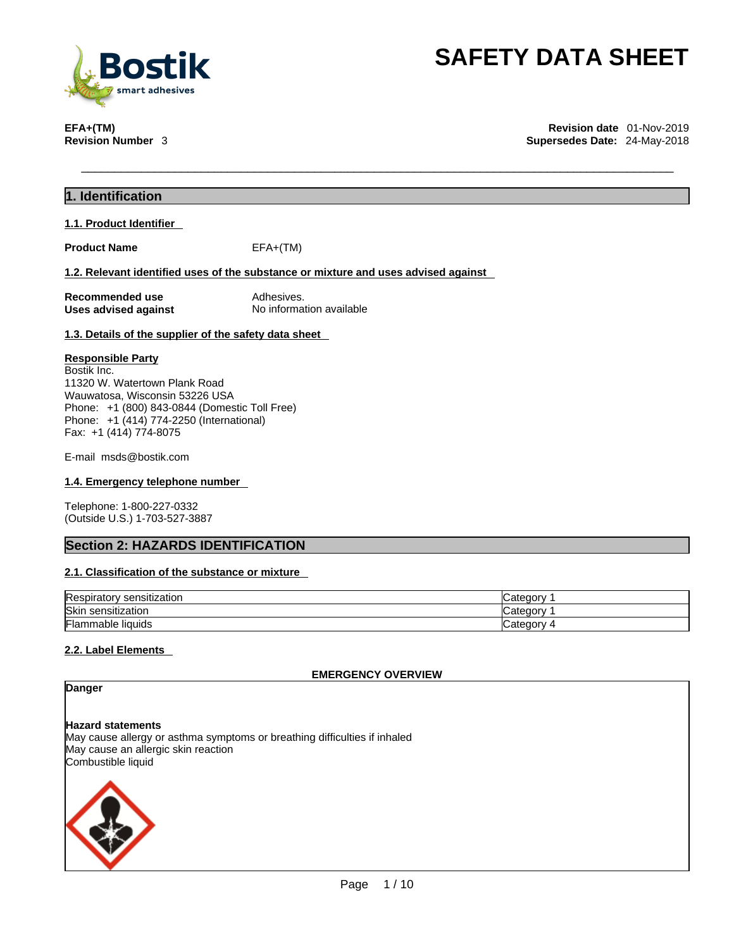

**EFA+(TM) Revision date** 01-Nov-2019 **Supersedes Date: 24-May-2018** 

# **1. Identification**

# **1.1. Product Identifier**

**Product Name** EFA+(TM)

# **1.2. Relevant identified uses of the substance or mixture and uses advised against**

**Recommended use** Adhesives.<br> **Uses advised against No information available Uses advised against** 

# **1.3. Details of the supplier of the safety data sheet**

# **Responsible Party**

Bostik Inc. 11320 W. Watertown Plank Road Wauwatosa, Wisconsin 53226 USA Phone: +1 (800) 843-0844 (Domestic Toll Free) Phone: +1 (414) 774-2250 (International) Fax: +1 (414) 774-8075

E-mail msds@bostik.com

# **1.4. Emergency telephone number**

Telephone: 1-800-227-0332 (Outside U.S.) 1-703-527-3887

# **Section 2: HAZARDS IDENTIFICATION**

# **2.1. Classification of the substance or mixture**

| Respirator<br>$\cdots$<br>sensitization | חחמי<br>n÷,<br>odlor: |
|-----------------------------------------|-----------------------|
| Skir<br>sensitization                   | uuu<br><br>valeut     |
| Flan.<br>ımable liquids                 | ∩∩r<br>--<br>valt     |

# **2.2. Label Elements**

**EMERGENCY OVERVIEW** 

# **Danger**

**Hazard statements** May cause allergy or asthma symptoms or breathing difficulties if inhaled May cause an allergic skin reaction Combustible liquid

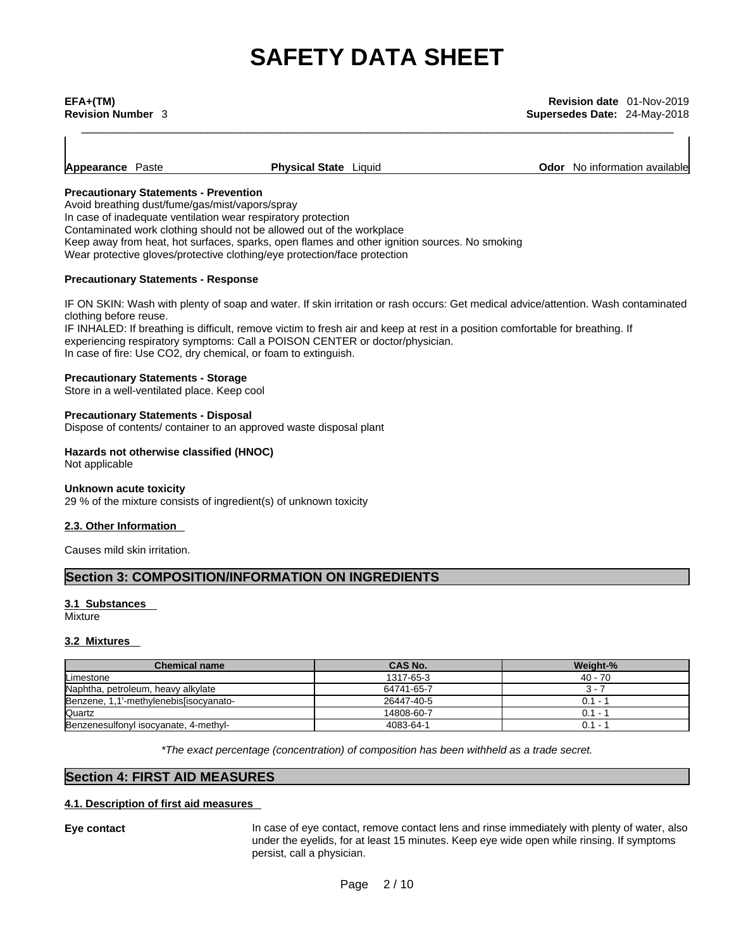| Appearance Paste | <b>Physical State</b> Liquid | <b>Odor</b> No information available |
|------------------|------------------------------|--------------------------------------|

# **Precautionary Statements - Prevention**

Avoid breathing dust/fume/gas/mist/vapors/spray

In case of inadequate ventilation wear respiratory protection

Contaminated work clothing should not be allowed out of the workplace

Keep away from heat, hot surfaces, sparks, open flames and other ignition sources. No smoking Wear protective gloves/protective clothing/eye protection/face protection

# **Precautionary Statements - Response**

IF ON SKIN: Wash with plenty of soap and water. If skin irritation or rash occurs: Get medical advice/attention. Wash contaminated clothing before reuse.

IF INHALED: If breathing is difficult, remove victim to fresh air and keep at rest in a position comfortable for breathing. If experiencing respiratory symptoms: Call a POISON CENTER or doctor/physician. In case of fire: Use CO2, dry chemical, or foam to extinguish.

# **Precautionary Statements - Storage**

Store in a well-ventilated place. Keep cool

# **Precautionary Statements - Disposal**

Dispose of contents/ container to an approved waste disposal plant

# **Hazards not otherwise classified (HNOC)**

Not applicable

# **Unknown acute toxicity**

29 % of the mixture consists of ingredient(s) of unknown toxicity

# **2.3. Other Information**

Causes mild skin irritation.

# **Section 3: COMPOSITION/INFORMATION ON INGREDIENTS**

# **3.1 Substances**

Mixture

# **3.2 Mixtures**

| <b>Chemical name</b>                   | <b>CAS No.</b> | Weight-%  |
|----------------------------------------|----------------|-----------|
| Limestone                              | 1317-65-3      | 40 - 70   |
| Naphtha, petroleum, heavy alkylate     | 64741-65-7     | 3 - 7     |
| Benzene, 1,1'-methylenebis[isocyanato- | 26447-40-5     | $0.1 -$   |
| Quartz                                 | 14808-60-7     | $0.1 - ?$ |
| Benzenesulfonyl isocyanate, 4-methyl-  | 4083-64-1      | $0.1 -$   |

*\*The exact percentage (concentration) of composition has been withheld as a trade secret.*

# **Section 4: FIRST AID MEASURES**

# **4.1. Description of first aid measures**

**Eye contact** In case of eye contact, remove contact lens and rinse immediately with plenty of water, also under the eyelids, for at least 15 minutes. Keep eye wide open while rinsing. If symptoms persist, call a physician.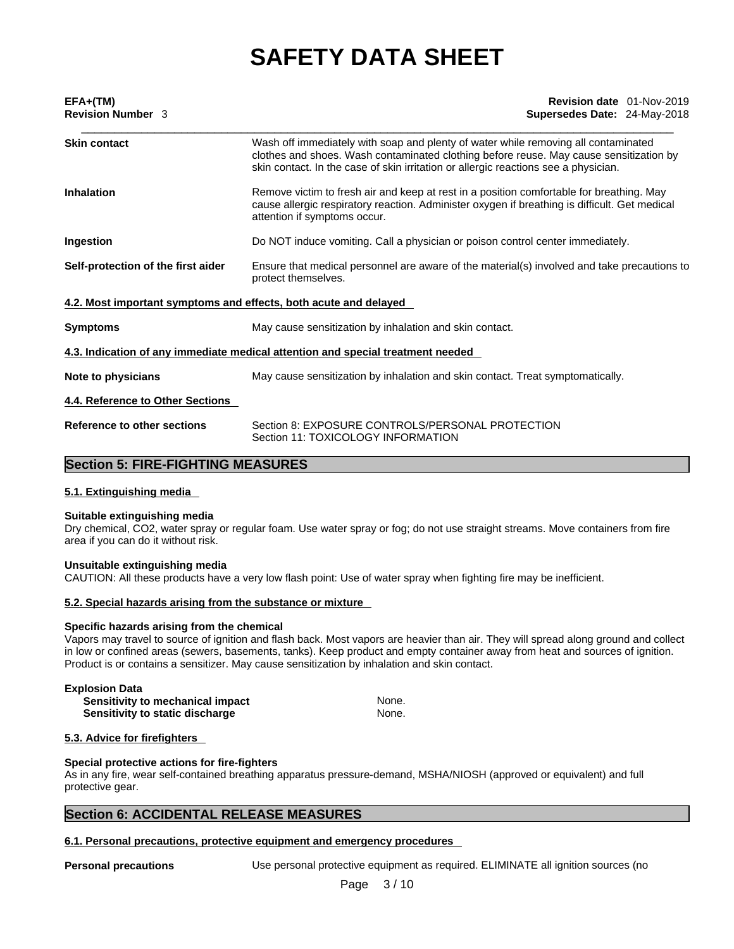| EFA+(TM)                                                         | Revision date 01-Nov-2019                                                                                                                                                                                                                                           |  |  |  |  |  |
|------------------------------------------------------------------|---------------------------------------------------------------------------------------------------------------------------------------------------------------------------------------------------------------------------------------------------------------------|--|--|--|--|--|
| <b>Revision Number 3</b>                                         | Supersedes Date: 24-May-2018                                                                                                                                                                                                                                        |  |  |  |  |  |
| <b>Skin contact</b>                                              | Wash off immediately with soap and plenty of water while removing all contaminated<br>clothes and shoes. Wash contaminated clothing before reuse. May cause sensitization by<br>skin contact. In the case of skin irritation or allergic reactions see a physician. |  |  |  |  |  |
| <b>Inhalation</b>                                                | Remove victim to fresh air and keep at rest in a position comfortable for breathing. May<br>cause allergic respiratory reaction. Administer oxygen if breathing is difficult. Get medical<br>attention if symptoms occur.                                           |  |  |  |  |  |
| Ingestion                                                        | Do NOT induce vomiting. Call a physician or poison control center immediately.                                                                                                                                                                                      |  |  |  |  |  |
| Self-protection of the first aider                               | Ensure that medical personnel are aware of the material(s) involved and take precautions to<br>protect themselves.                                                                                                                                                  |  |  |  |  |  |
| 4.2. Most important symptoms and effects, both acute and delayed |                                                                                                                                                                                                                                                                     |  |  |  |  |  |
| <b>Symptoms</b>                                                  | May cause sensitization by inhalation and skin contact.                                                                                                                                                                                                             |  |  |  |  |  |
|                                                                  | 4.3. Indication of any immediate medical attention and special treatment needed                                                                                                                                                                                     |  |  |  |  |  |
| Note to physicians                                               | May cause sensitization by inhalation and skin contact. Treat symptomatically.                                                                                                                                                                                      |  |  |  |  |  |
| 4.4. Reference to Other Sections                                 |                                                                                                                                                                                                                                                                     |  |  |  |  |  |
| Reference to other sections                                      | Section 8: EXPOSURE CONTROLS/PERSONAL PROTECTION<br>Section 11: TOXICOLOGY INFORMATION                                                                                                                                                                              |  |  |  |  |  |
|                                                                  |                                                                                                                                                                                                                                                                     |  |  |  |  |  |

# **Section 5: FIRE-FIGHTING MEASURES**

# **5.1. Extinguishing media**

### **Suitable extinguishing media**

Dry chemical, CO2, water spray or regular foam. Use water spray or fog; do not use straight streams. Move containers from fire area if you can do it without risk.

# **Unsuitable extinguishing media**

CAUTION: All these products have a very low flash point: Use of water spray when fighting fire may be inefficient.

### **5.2. Special hazards arising from the substance or mixture**

# **Specific hazards arising from the chemical**

Vapors may travel to source of ignition and flash back. Most vapors are heavier than air. They will spread along ground and collect in low or confined areas (sewers, basements, tanks). Keep product and empty container away from heat and sources of ignition. Product is or contains a sensitizer. May cause sensitization by inhalation and skin contact.

| <b>Explosion Data</b>            |       |
|----------------------------------|-------|
| Sensitivity to mechanical impact | None. |
| Sensitivity to static discharge  | None. |

# **5.3. Advice for firefighters**

### **Special protective actions for fire-fighters**

As in any fire, wear self-contained breathing apparatus pressure-demand, MSHA/NIOSH (approved or equivalent) and full protective gear.

# **Section 6: ACCIDENTAL RELEASE MEASURES**

# **6.1. Personal precautions, protective equipment and emergency procedures**

**Personal precautions** Use personal protective equipment as required. ELIMINATE all ignition sources (no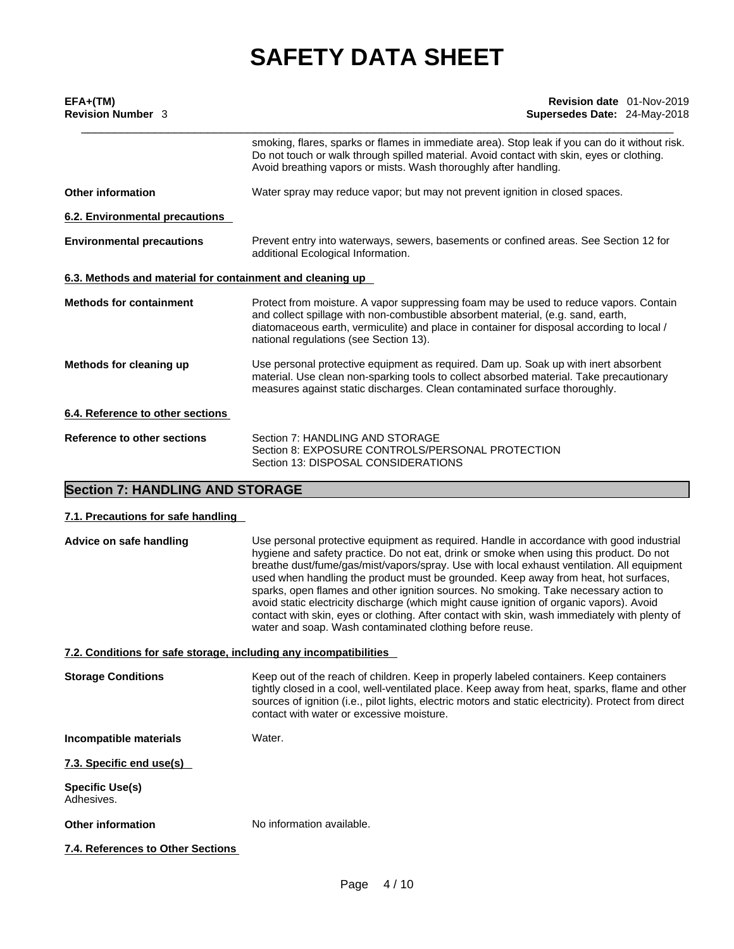| $EFA+(TM)$                                                | Revision date 01-Nov-2019                                                                                                                                                                                                                                                                                        |  |  |  |  |  |
|-----------------------------------------------------------|------------------------------------------------------------------------------------------------------------------------------------------------------------------------------------------------------------------------------------------------------------------------------------------------------------------|--|--|--|--|--|
| <b>Revision Number 3</b>                                  | Supersedes Date: 24-May-2018                                                                                                                                                                                                                                                                                     |  |  |  |  |  |
|                                                           | smoking, flares, sparks or flames in immediate area). Stop leak if you can do it without risk.<br>Do not touch or walk through spilled material. Avoid contact with skin, eyes or clothing.<br>Avoid breathing vapors or mists. Wash thoroughly after handling.                                                  |  |  |  |  |  |
| <b>Other information</b>                                  | Water spray may reduce vapor; but may not prevent ignition in closed spaces.                                                                                                                                                                                                                                     |  |  |  |  |  |
| 6.2. Environmental precautions                            |                                                                                                                                                                                                                                                                                                                  |  |  |  |  |  |
| <b>Environmental precautions</b>                          | Prevent entry into waterways, sewers, basements or confined areas. See Section 12 for<br>additional Ecological Information.                                                                                                                                                                                      |  |  |  |  |  |
| 6.3. Methods and material for containment and cleaning up |                                                                                                                                                                                                                                                                                                                  |  |  |  |  |  |
| <b>Methods for containment</b>                            | Protect from moisture. A vapor suppressing foam may be used to reduce vapors. Contain<br>and collect spillage with non-combustible absorbent material, (e.g. sand, earth,<br>diatomaceous earth, vermiculite) and place in container for disposal according to local /<br>national regulations (see Section 13). |  |  |  |  |  |
| Methods for cleaning up                                   | Use personal protective equipment as required. Dam up. Soak up with inert absorbent<br>material. Use clean non-sparking tools to collect absorbed material. Take precautionary<br>measures against static discharges. Clean contaminated surface thoroughly.                                                     |  |  |  |  |  |
| 6.4. Reference to other sections                          |                                                                                                                                                                                                                                                                                                                  |  |  |  |  |  |
| Reference to other sections                               | Section 7: HANDLING AND STORAGE<br>Section 8: EXPOSURE CONTROLS/PERSONAL PROTECTION<br>Section 13: DISPOSAL CONSIDERATIONS                                                                                                                                                                                       |  |  |  |  |  |

# **Section 7: HANDLING AND STORAGE**

| 7.1. Precautions for safe handling |
|------------------------------------|
|------------------------------------|

| Advice on safe handling                                           | Use personal protective equipment as required. Handle in accordance with good industrial<br>hygiene and safety practice. Do not eat, drink or smoke when using this product. Do not<br>breathe dust/fume/gas/mist/vapors/spray. Use with local exhaust ventilation. All equipment<br>used when handling the product must be grounded. Keep away from heat, hot surfaces,<br>sparks, open flames and other ignition sources. No smoking. Take necessary action to<br>avoid static electricity discharge (which might cause ignition of organic vapors). Avoid<br>contact with skin, eyes or clothing. After contact with skin, wash immediately with plenty of<br>water and soap. Wash contaminated clothing before reuse. |
|-------------------------------------------------------------------|---------------------------------------------------------------------------------------------------------------------------------------------------------------------------------------------------------------------------------------------------------------------------------------------------------------------------------------------------------------------------------------------------------------------------------------------------------------------------------------------------------------------------------------------------------------------------------------------------------------------------------------------------------------------------------------------------------------------------|
| 7.2. Conditions for safe storage, including any incompatibilities |                                                                                                                                                                                                                                                                                                                                                                                                                                                                                                                                                                                                                                                                                                                           |
| <b>Storage Conditions</b>                                         | Keep out of the reach of children. Keep in properly labeled containers. Keep containers<br>tightly closed in a cool, well-ventilated place. Keep away from heat, sparks, flame and other<br>sources of ignition (i.e., pilot lights, electric motors and static electricity). Protect from direct<br>contact with water or excessive moisture.                                                                                                                                                                                                                                                                                                                                                                            |
| Incompatible materials                                            | Water.                                                                                                                                                                                                                                                                                                                                                                                                                                                                                                                                                                                                                                                                                                                    |
| 7.3. Specific end use(s)                                          |                                                                                                                                                                                                                                                                                                                                                                                                                                                                                                                                                                                                                                                                                                                           |
| <b>Specific Use(s)</b><br>Adhesives.                              |                                                                                                                                                                                                                                                                                                                                                                                                                                                                                                                                                                                                                                                                                                                           |
| <b>Other information</b>                                          | No information available.                                                                                                                                                                                                                                                                                                                                                                                                                                                                                                                                                                                                                                                                                                 |
| 7.4. References to Other Sections                                 |                                                                                                                                                                                                                                                                                                                                                                                                                                                                                                                                                                                                                                                                                                                           |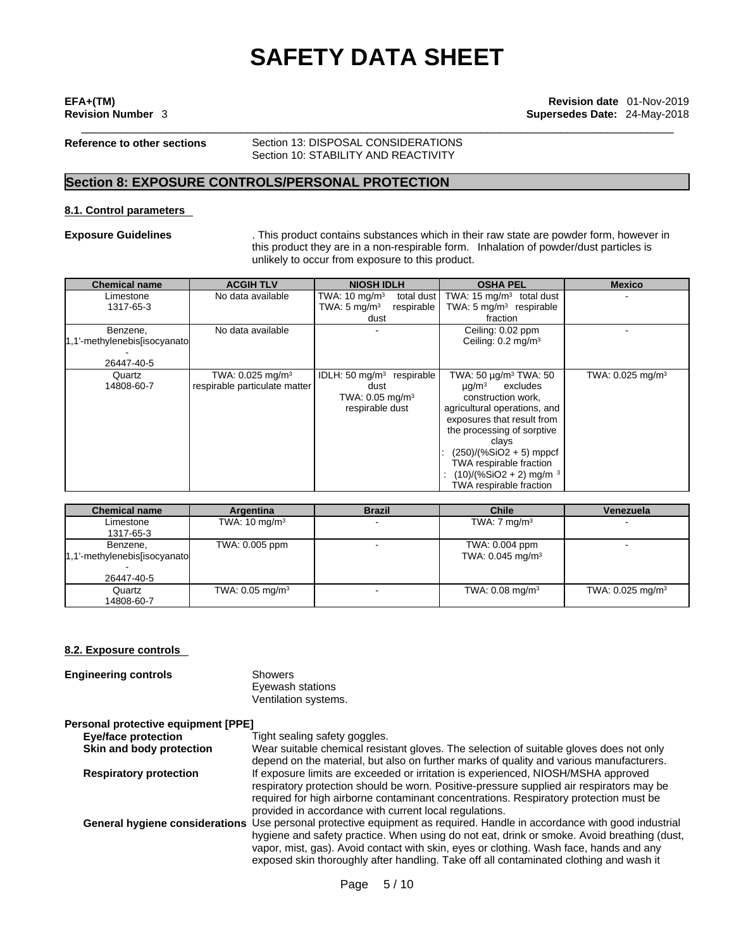**Reference to other sections** Section 13: DISPOSAL CONSIDERATIONS Section 10: STABILITY AND REACTIVITY

# **Section 8: EXPOSURE CONTROLS/PERSONAL PROTECTION**

## **8.1. Control parameters**

**Exposure Guidelines** . This product contains substances which in their raw state are powder form, however in this product they are in a non-respirable form. Inhalation of powder/dust particles is unlikely to occur from exposure to this product.

| <b>Chemical name</b>         | <b>ACGIH TLV</b>               | <b>NIOSH IDLH</b>                      | <b>OSHA PEL</b>                      | <b>Mexico</b>                  |
|------------------------------|--------------------------------|----------------------------------------|--------------------------------------|--------------------------------|
| Limestone                    | No data available              | total dust<br>TWA: $10 \text{ mg/m}^3$ | TWA: $15 \text{ mg/m}^3$ total dust  |                                |
| 1317-65-3                    |                                | TWA: $5 \text{ mg/m}^3$<br>respirable  | TWA: $5 \text{ mg/m}^3$ respirable   |                                |
|                              |                                | dust                                   | fraction                             |                                |
| Benzene,                     | No data available              |                                        | Ceiling: 0.02 ppm                    |                                |
| 1,1'-methylenebis[isocyanato |                                |                                        | Ceiling: 0.2 mg/m <sup>3</sup>       |                                |
|                              |                                |                                        |                                      |                                |
| 26447-40-5                   |                                |                                        |                                      |                                |
| Quartz                       | TWA: $0.025$ mg/m <sup>3</sup> | IDLH: 50 $mq/m3$ respirable            | TWA: 50 μg/m <sup>3</sup> TWA: 50    | TWA: $0.025$ mg/m <sup>3</sup> |
| 14808-60-7                   | respirable particulate matter  | dust                                   | $\mu$ q/m <sup>3</sup><br>excludes   |                                |
|                              |                                | TWA: $0.05 \text{ mg/m}^3$             | construction work,                   |                                |
|                              |                                | respirable dust                        | agricultural operations, and         |                                |
|                              |                                |                                        | exposures that result from           |                                |
|                              |                                |                                        | the processing of sorptive           |                                |
|                              |                                |                                        | clays                                |                                |
|                              |                                |                                        | (250)/(%SiO2 + 5) mppcf              |                                |
|                              |                                |                                        | TWA respirable fraction              |                                |
|                              |                                |                                        | $(10)/(%SiO2 + 2)$ mg/m <sup>3</sup> |                                |
|                              |                                |                                        | TWA respirable fraction              |                                |

| <b>Chemical name</b>                                    | Argentina                  | <b>Brazil</b> | <b>Chile</b>                                   | Venezuela                      |
|---------------------------------------------------------|----------------------------|---------------|------------------------------------------------|--------------------------------|
| Limestone<br>1317-65-3                                  | TWA: $10 \text{ mg/m}^3$   |               | TWA: $7 \text{ mg/m}^3$                        |                                |
| Benzene,<br>1,1'-methylenebis[isocyanato]<br>26447-40-5 | TWA: 0.005 ppm             |               | TWA: 0.004 ppm<br>TWA: 0.045 mg/m <sup>3</sup> |                                |
| Quartz<br>14808-60-7                                    | TWA: $0.05 \text{ mg/m}^3$ |               | TWA: $0.08 \text{ mg/m}^3$                     | TWA: $0.025$ mg/m <sup>3</sup> |

### **8.2. Exposure controls**

| <b>Engineering controls</b>         | <b>Showers</b><br>Eyewash stations<br>Ventilation systems.                                    |
|-------------------------------------|-----------------------------------------------------------------------------------------------|
| Personal protective equipment [PPE] |                                                                                               |
| Eye/face protection                 | Tight sealing safety goggles.                                                                 |
| Skin and body protection            | Wear suitable chemical resistant gloves.                                                      |
| <b>Paeniratory protection</b>       | depend on the material, but also on furthe<br>If experience limits are exceeded or irritation |

**Stant gloves. The selection of suitable gloves does not only** also on further marks of quality and various manufacturers. **Respiratory protection** If exposure limits are exceeded or irritation is experienced, NIOSH/MSHA approved respiratory protection should be worn. Positive-pressure supplied air respirators may be required for high airborne contaminant concentrations. Respiratory protection must be provided in accordance with current local regulations. General hygiene considerations Use personal protective equipment as required. Handle in accordance with good industrial hygiene and safety practice. When using do not eat, drink or smoke. Avoid breathing (dust, vapor, mist, gas). Avoid contact with skin, eyes or clothing. Wash face, hands and any exposed skin thoroughly after handling. Take off all contaminated clothing and wash it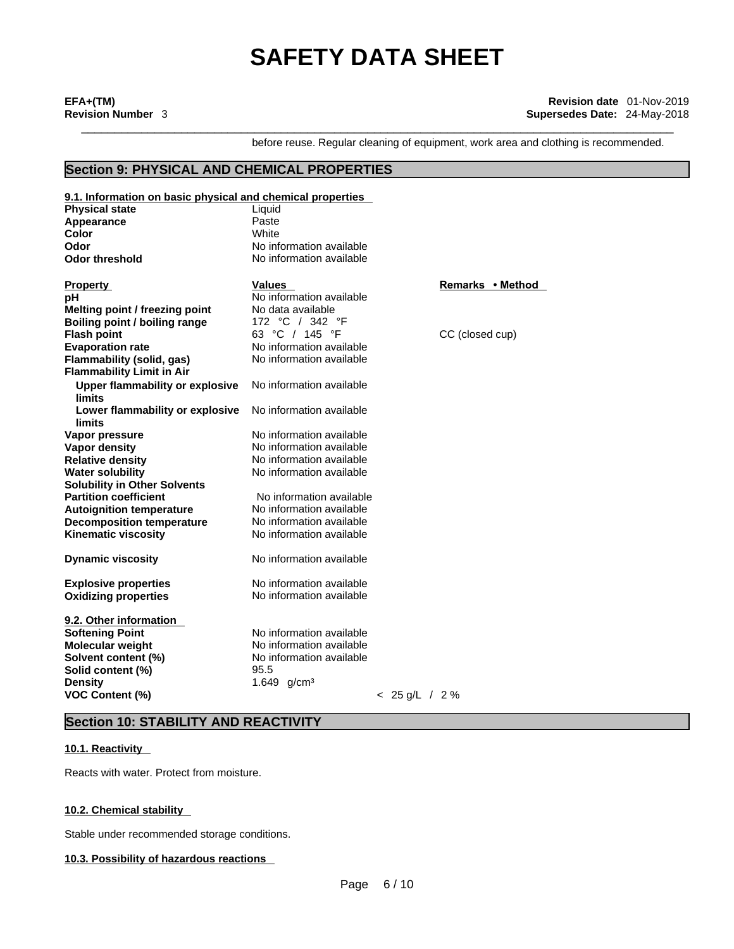\_\_\_\_\_\_\_\_\_\_\_\_\_\_\_\_\_\_\_\_\_\_\_\_\_\_\_\_\_\_\_\_\_\_\_\_\_\_\_\_\_\_\_\_\_\_\_\_\_\_\_\_\_\_\_\_\_\_\_\_\_\_\_\_\_\_\_\_\_\_\_\_\_\_\_\_\_\_\_\_\_\_\_\_\_\_\_\_\_ **EFA+(TM) Revision date** 01-Nov-2019 **Revision Number** 3 **Supersedes Date:** 24-May-2018

before reuse. Regular cleaning of equipment, work area and clothing is recommended.

# **Section 9: PHYSICAL AND CHEMICAL PROPERTIES**

| 9.1. Information on basic physical and chemical properties |                          |                  |                  |
|------------------------------------------------------------|--------------------------|------------------|------------------|
| <b>Physical state</b>                                      | Liquid                   |                  |                  |
| Appearance                                                 | Paste                    |                  |                  |
| Color                                                      | White                    |                  |                  |
| Odor                                                       | No information available |                  |                  |
| <b>Odor threshold</b>                                      | No information available |                  |                  |
|                                                            |                          |                  |                  |
| <b>Property</b>                                            | Values                   |                  | Remarks • Method |
| рH                                                         | No information available |                  |                  |
| Melting point / freezing point                             | No data available        |                  |                  |
| Boiling point / boiling range                              | 172 °C / 342 °F          |                  |                  |
| <b>Flash point</b>                                         | 63 °C / 145 °F           |                  | CC (closed cup)  |
| <b>Evaporation rate</b>                                    | No information available |                  |                  |
| Flammability (solid, gas)                                  | No information available |                  |                  |
| <b>Flammability Limit in Air</b>                           |                          |                  |                  |
|                                                            | No information available |                  |                  |
| <b>Upper flammability or explosive</b><br><b>limits</b>    |                          |                  |                  |
|                                                            |                          |                  |                  |
| Lower flammability or explosive                            | No information available |                  |                  |
| limits                                                     |                          |                  |                  |
| Vapor pressure                                             | No information available |                  |                  |
| Vapor density                                              | No information available |                  |                  |
| <b>Relative density</b>                                    | No information available |                  |                  |
| <b>Water solubility</b>                                    | No information available |                  |                  |
| <b>Solubility in Other Solvents</b>                        |                          |                  |                  |
| <b>Partition coefficient</b>                               | No information available |                  |                  |
| <b>Autoignition temperature</b>                            | No information available |                  |                  |
| <b>Decomposition temperature</b>                           | No information available |                  |                  |
| <b>Kinematic viscosity</b>                                 | No information available |                  |                  |
|                                                            |                          |                  |                  |
| <b>Dynamic viscosity</b>                                   | No information available |                  |                  |
|                                                            |                          |                  |                  |
| <b>Explosive properties</b>                                | No information available |                  |                  |
| <b>Oxidizing properties</b>                                | No information available |                  |                  |
|                                                            |                          |                  |                  |
| 9.2. Other information                                     |                          |                  |                  |
| <b>Softening Point</b>                                     | No information available |                  |                  |
| <b>Molecular weight</b>                                    | No information available |                  |                  |
| Solvent content (%)                                        | No information available |                  |                  |
| Solid content (%)                                          | 95.5                     |                  |                  |
| <b>Density</b>                                             | 1.649 g/cm <sup>3</sup>  |                  |                  |
| <b>VOC Content (%)</b>                                     |                          | $< 25$ g/L / 2 % |                  |
|                                                            |                          |                  |                  |

# **Section 10: STABILITY AND REACTIVITY**

# **10.1. Reactivity**

Reacts with water. Protect from moisture.

# **10.2. Chemical stability**

Stable under recommended storage conditions.

# **10.3. Possibility of hazardous reactions**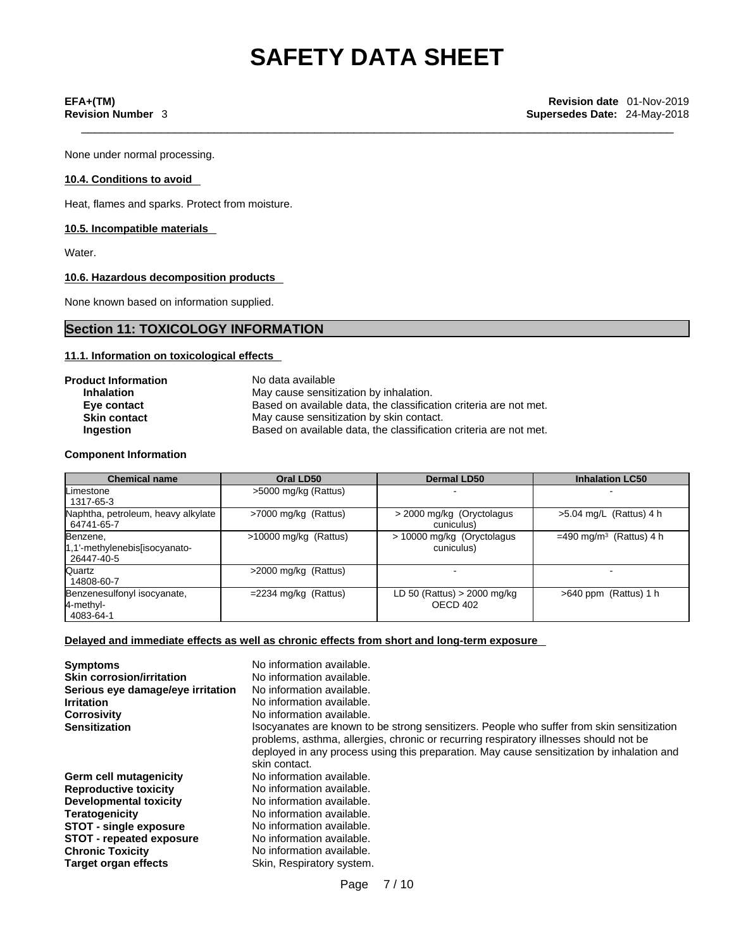None under normal processing.

## **10.4. Conditions to avoid**

Heat, flames and sparks. Protect from moisture.

## **10.5. Incompatible materials**

Water.

# **10.6. Hazardous decomposition products**

None known based on information supplied.

# **Section 11: TOXICOLOGY INFORMATION**

# **11.1. Information on toxicologicaleffects**

| <b>Product Information</b> | No data available                                                 |
|----------------------------|-------------------------------------------------------------------|
| <b>Inhalation</b>          | May cause sensitization by inhalation.                            |
| Eye contact                | Based on available data, the classification criteria are not met. |
| <b>Skin contact</b>        | May cause sensitization by skin contact.                          |
| <b>Ingestion</b>           | Based on available data, the classification criteria are not met. |

## **Component Information**

| <b>Chemical name</b>                                     | Oral LD50               | <b>Dermal LD50</b>                        | <b>Inhalation LC50</b>                |
|----------------------------------------------------------|-------------------------|-------------------------------------------|---------------------------------------|
| <b>Limestone</b><br>1317-65-3                            | >5000 mg/kg (Rattus)    |                                           |                                       |
| Naphtha, petroleum, heavy alkylate<br>64741-65-7         | >7000 mg/kg (Rattus)    | > 2000 mg/kg (Oryctolagus)<br>cuniculus)  | $>5.04$ mg/L (Rattus) 4 h             |
| Benzene,<br>1,1'-methylenebis[isocyanato-<br>26447-40-5  | $>10000$ mg/kg (Rattus) | > 10000 mg/kg (Oryctolagus)<br>cuniculus) | $=490$ mg/m <sup>3</sup> (Rattus) 4 h |
| Quartz<br>14808-60-7                                     | $>2000$ mg/kg (Rattus)  |                                           |                                       |
| Benzenesulfonyl isocyanate,<br>$4$ -methyl-<br>4083-64-1 | $=$ 2234 mg/kg (Rattus) | LD 50 (Rattus) $>$ 2000 mg/kg<br>OECD 402 | $>640$ ppm (Rattus) 1 h               |

# **Delayed and immediate effects as well as chronic effects from short and long-term exposure**

| <b>Symptoms</b><br><b>Skin corrosion/irritation</b><br>Serious eye damage/eye irritation<br><b>Irritation</b><br><b>Corrosivity</b><br><b>Sensitization</b> | No information available.<br>No information available.<br>No information available.<br>No information available.<br>No information available.<br>Isocyanates are known to be strong sensitizers. People who suffer from skin sensitization |
|-------------------------------------------------------------------------------------------------------------------------------------------------------------|--------------------------------------------------------------------------------------------------------------------------------------------------------------------------------------------------------------------------------------------|
|                                                                                                                                                             | problems, asthma, allergies, chronic or recurring respiratory illnesses should not be<br>deployed in any process using this preparation. May cause sensitization by inhalation and<br>skin contact.                                        |
| Germ cell mutagenicity                                                                                                                                      | No information available.                                                                                                                                                                                                                  |
| <b>Reproductive toxicity</b>                                                                                                                                | No information available.                                                                                                                                                                                                                  |
| Developmental toxicity                                                                                                                                      | No information available.                                                                                                                                                                                                                  |
| <b>Teratogenicity</b>                                                                                                                                       | No information available.                                                                                                                                                                                                                  |
| <b>STOT - single exposure</b>                                                                                                                               | No information available.                                                                                                                                                                                                                  |
| <b>STOT - repeated exposure</b>                                                                                                                             | No information available.                                                                                                                                                                                                                  |
| <b>Chronic Toxicity</b>                                                                                                                                     | No information available.                                                                                                                                                                                                                  |
| <b>Target organ effects</b>                                                                                                                                 | Skin, Respiratory system.                                                                                                                                                                                                                  |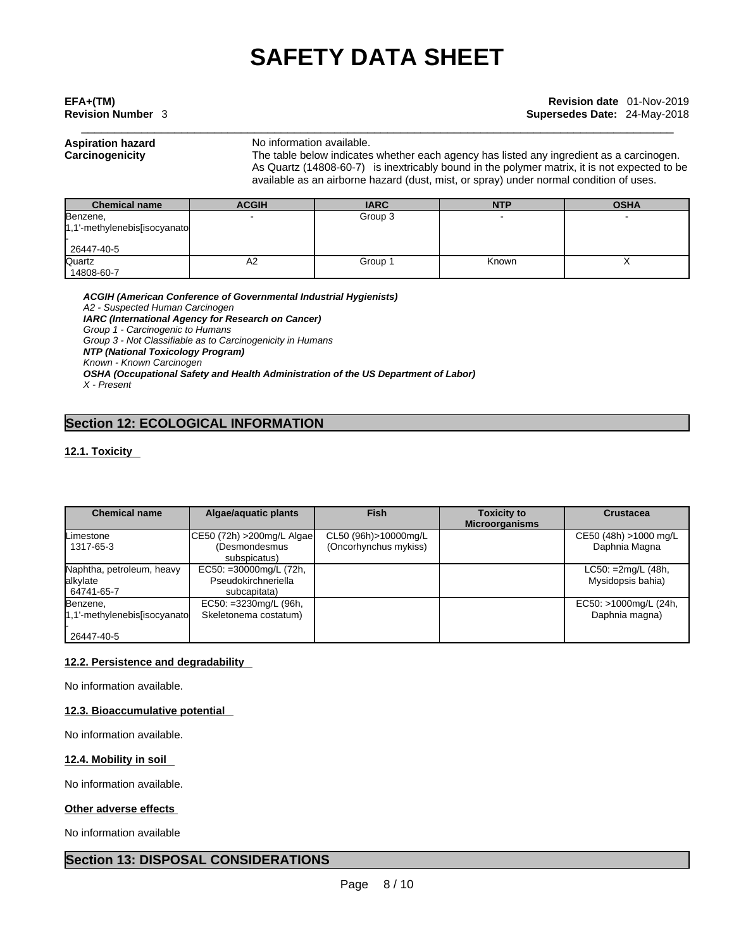# \_\_\_\_\_\_\_\_\_\_\_\_\_\_\_\_\_\_\_\_\_\_\_\_\_\_\_\_\_\_\_\_\_\_\_\_\_\_\_\_\_\_\_\_\_\_\_\_\_\_\_\_\_\_\_\_\_\_\_\_\_\_\_\_\_\_\_\_\_\_\_\_\_\_\_\_\_\_\_\_\_\_\_\_\_\_\_\_\_ **EFA+(TM) Revision date** 01-Nov-2019 **Revision Number** 3 **Supersedes Date:** 24-May-2018

## **Aspiration hazard** No information available.

**Carcinogenicity** The table below indicateswhether each agency has listed any ingredient as a carcinogen. As Quartz (14808-60-7) is inextricably bound in the polymer matrix, it is not expected to be available as an airborne hazard (dust, mist, or spray) under normal condition of uses.

| <b>Chemical name</b>             | <b>ACGIH</b> | <b>IARC</b> | <b>NTP</b> | <b>OSHA</b> |
|----------------------------------|--------------|-------------|------------|-------------|
| Benzene,                         |              | Group 3     |            |             |
| $1,1'$ -methylenebis[isocyanato] |              |             |            |             |
|                                  |              |             |            |             |
| 26447-40-5                       |              |             |            |             |
| Quartz                           | A2           | Group 1     | Known      |             |
| 14808-60-7                       |              |             |            |             |

*ACGIH (American Conference of Governmental Industrial Hygienists) A2 - Suspected Human Carcinogen IARC (International Agency for Research on Cancer) Group 1 - Carcinogenic to Humans Group 3 - Not Classifiable as to Carcinogenicity in Humans NTP (National Toxicology Program) Known - Known Carcinogen OSHA (Occupational Safety and Health Administration of the US Department of Labor)*

**Section 12: ECOLOGICAL INFORMATION** 

# **12.1. Toxicity**

*X - Present* 

| <b>Chemical name</b>          | Algae/aquatic plants          | <b>Fish</b>           | <b>Toxicity to</b>    | <b>Crustacea</b>      |
|-------------------------------|-------------------------------|-----------------------|-----------------------|-----------------------|
|                               |                               |                       | <b>Microorganisms</b> |                       |
| Limestone                     | CE50 (72h) > 200mg/L Algae    | CL50 (96h)>10000mg/L  |                       | CE50 (48h) >1000 mg/L |
| 1317-65-3                     | (Desmondesmus<br>subspicatus) | (Oncorhynchus mykiss) |                       | Daphnia Magna         |
| Naphtha, petroleum, heavy     | EC50: =30000mg/L (72h,        |                       |                       | $LC50: =2mg/L (48h,$  |
| alkylate                      | Pseudokirchneriella           |                       |                       | Mysidopsis bahia)     |
| 64741-65-7                    | subcapitata)                  |                       |                       |                       |
| Benzene,                      | EC50: =3230mg/L (96h,         |                       |                       | EC50: >1000mg/L (24h, |
| 1.1'-methylenebis[isocyanato] | Skeletonema costatum)         |                       |                       | Daphnia magna)        |
|                               |                               |                       |                       |                       |
| 26447-40-5                    |                               |                       |                       |                       |

# **12.2. Persistence and degradability**

No information available.

# **12.3. Bioaccumulative potential**

No information available.

# **12.4. Mobility in soil**

No information available.

# **Other adverse effects**

No information available

# **Section 13: DISPOSAL CONSIDERATIONS**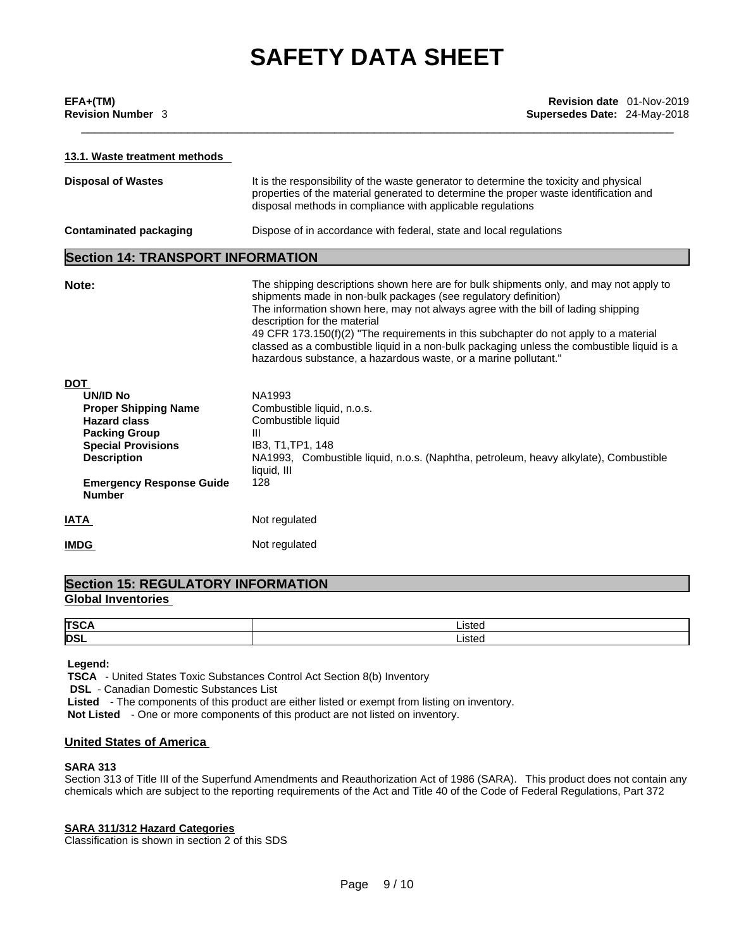| EFA+(TM)                 |  |
|--------------------------|--|
| <b>Revision Number 3</b> |  |

## **13.1. Waste treatment methods**

| <b>Disposal of Wastes</b>                                                                                                                                                                            | It is the responsibility of the waste generator to determine the toxicity and physical<br>properties of the material generated to determine the proper waste identification and<br>disposal methods in compliance with applicable regulations                                                                                                                                                                                                                                                                                           |
|------------------------------------------------------------------------------------------------------------------------------------------------------------------------------------------------------|-----------------------------------------------------------------------------------------------------------------------------------------------------------------------------------------------------------------------------------------------------------------------------------------------------------------------------------------------------------------------------------------------------------------------------------------------------------------------------------------------------------------------------------------|
| <b>Contaminated packaging</b>                                                                                                                                                                        | Dispose of in accordance with federal, state and local regulations                                                                                                                                                                                                                                                                                                                                                                                                                                                                      |
| <b>Section 14: TRANSPORT INFORMATION</b>                                                                                                                                                             |                                                                                                                                                                                                                                                                                                                                                                                                                                                                                                                                         |
| Note:                                                                                                                                                                                                | The shipping descriptions shown here are for bulk shipments only, and may not apply to<br>shipments made in non-bulk packages (see regulatory definition)<br>The information shown here, may not always agree with the bill of lading shipping<br>description for the material<br>49 CFR 173.150(f)(2) "The requirements in this subchapter do not apply to a material<br>classed as a combustible liquid in a non-bulk packaging unless the combustible liquid is a<br>hazardous substance, a hazardous waste, or a marine pollutant." |
| DOT                                                                                                                                                                                                  |                                                                                                                                                                                                                                                                                                                                                                                                                                                                                                                                         |
| <b>UN/ID No</b><br><b>Proper Shipping Name</b><br><b>Hazard class</b><br><b>Packing Group</b><br><b>Special Provisions</b><br><b>Description</b><br><b>Emergency Response Guide</b><br><b>Number</b> | NA1993<br>Combustible liquid, n.o.s.<br>Combustible liquid<br>Ш<br>IB3, T1, TP1, 148<br>NA1993, Combustible liquid, n.o.s. (Naphtha, petroleum, heavy alkylate), Combustible<br>liquid, III<br>128                                                                                                                                                                                                                                                                                                                                      |
| IATA                                                                                                                                                                                                 | Not regulated                                                                                                                                                                                                                                                                                                                                                                                                                                                                                                                           |
| <b>IMDG</b>                                                                                                                                                                                          | Not regulated                                                                                                                                                                                                                                                                                                                                                                                                                                                                                                                           |
|                                                                                                                                                                                                      |                                                                                                                                                                                                                                                                                                                                                                                                                                                                                                                                         |

# **Section 15: REGULATORY INFORMATION Global Inventories**

| <b>TSC</b> | ∟isted |
|------------|--------|
| <b>DSL</b> | ∟isted |

## **Legend:**

 **TSCA** - United States Toxic Substances Control Act Section 8(b) Inventory

**DSL** - Canadian Domestic Substances List

 **Listed** - The components of this product are either listed or exempt from listing on inventory.

 **Not Listed** - One or more components of this product are not listed on inventory.

# **United States of America**

# **SARA 313**

Section 313 of Title III of the Superfund Amendments and Reauthorization Act of 1986 (SARA). This product does not contain any chemicals which are subject to the reporting requirements of the Act and Title 40 of the Code of Federal Regulations, Part 372

### **SARA 311/312 Hazard Categories**

Classification is shown in section 2 of this SDS